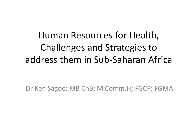Human Resources for Health, Challenges and Strategies to address them in Sub‐Saharan Africa

Dr Ken Sagoe: MB ChB; M.Comm.H; FGCP; FGMA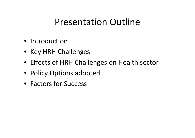#### Presentation Outline

- Introduction
- Key HRH Challenges
- Effects of HRH Challenges on Health sector
- Policy Options adopted
- Factors for Success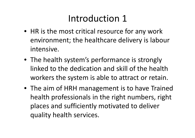### Introduction 1

- HR is the most critical resource for any work environment; the healthcare delivery is labour intensive.
- The health system's performance is strongly linked to the dedication and skill of the health workers the system is able to attract or retain.
- The aim of HRH management is to have Trained health professionals in the right numbers, right places and sufficiently motivated to deliver quality health services.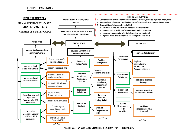#### **RESULTS FRAMEWORK**

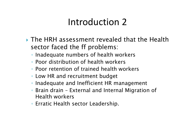#### Introduction 2

- The HRH assessment revealed that the Health sector faced the ff problems:
	- Inadequate numbers of health workers
	- Poor distribution of health workers
	- Poor retention of trained health workers
	- Low HR and recruitment budget
	- Inadequate and Inefficient HR management
	- Brain drain External and Internal Migration of Health workers
	- Erratic Health sector Leadership.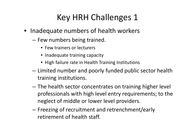#### Key HRH Challenges 1

- Inadequate numbers of health workers
	- Few numbers being trained.
		- Few trainers or lecturers
		- Inadequate training capacity
		- High failure rate in Health Training Institutions
	- – Limited number and poorly funded public sector health training institutions.
	- The health sector concentrates on training higher level professionals with high level entry requirements; to the neglect of middle or lower level providers.
	- $-$  Freezing of recruitment and retrenchment/early retirement of health staff.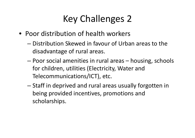# Key Challenges 2

- Poor distribution of health workers
	- Distribution Skewed in favour of Urban areas to the disadvantage of rural areas.
	- – Poor social amenities in rural areas – housing, schools for children, utilities (Electricity, Water and Telecommunications/ICT), etc.
	- – $-$  Staff in deprived and rural areas usually forgotten in being provided incentives, promotions and scholarships.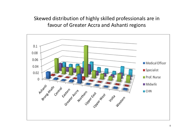Skewed distribution of highly skilled professionals are in favour of Greater Accra and Ashanti regions

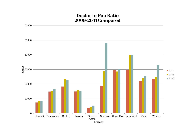#### **Doctor to Pop Ratio 2009-2011 Compared**

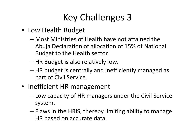# Key Challenges 3

- Low Health Budget
	- Most Ministries of Health have not attained the Abuja Declaration of allocation of 15% of National Budget to the Health sector.
	- –HR Budget is also relatively low.
	- HR budget is centrally and inefficiently managed as part of Civil Service.
- Inefficient HR management
	- Low capacity of HR managers under the Civil Service system.
	- – $-$  Flaws in the HRIS, thereby limiting ability to manage HR based on accurate data.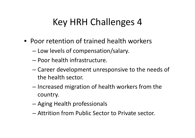## Key HRH Challenges 4

- Poor retention of trained health workers
	- Low levels of compensation/salary.
	- Poor health infrastructure.
	- – Career development unresponsive to the needs of the health sector.
	- Increased migration of health workers from the country.
	- –Aging Health professionals
	- Attrition from Public Sector to Private sector.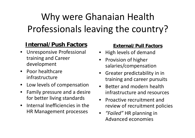# Why were Ghanaian Health Professionals leaving the country?

#### **Internal/Push Factors**

- • Unresponsive Professional training and Career development
- $\bullet$  Poor healthcareinfrastructure
- •• Low levels of compensation
- • Family pressure and <sup>a</sup> desire for better living standards
- • $\bullet$  Internal Inefficiencies in the HR Management processes

#### **External/Pull Factors**

- •High levels of demand
- •• Provision of higher salaries/compensation
- • Greater predictability in in training and career pursuits
- Better and modern health infrastructure and resources
- $\bullet$ • Proactive recruitment and review of recruitment policies
- *"Failed"* HR planning in Advanced economies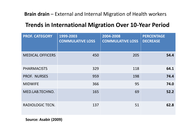#### **Brain drain** – External and Internal Migration of Health workers

#### **Trends in International Migration Over 10‐Year Period**

| <b>PROF. CATEGORY</b>   | 1999-2003<br><b>COMMULATIVE LOSS</b> | 2004-2008<br><b>COMMULATIVE LOSS</b> | <b>PERCENTAGE</b><br><b>DECREASE</b> |
|-------------------------|--------------------------------------|--------------------------------------|--------------------------------------|
| <b>MEDICAL OFFICERS</b> | 450                                  | 205                                  | 54.4                                 |
| <b>PHARMACISTS</b>      | 329                                  | 118                                  | 64.1                                 |
| PROF. NURSES            | 959                                  | 198                                  | 74.4                                 |
| <b>MIDWIFE</b>          | 366                                  | 95                                   | 74.0                                 |
| MED.LAB.TECHNO.         | 165                                  | 69                                   | 52.2                                 |
| <b>RADIOLOGIC TECN.</b> | 137                                  | 51                                   | 62.8                                 |

**Source: Asabir (2009)**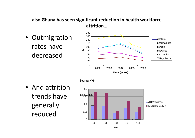#### **also Ghana has seen significant reduction in health workforce attrition**…

• Outmigration rates havedecreased





• And attrition trends havegenerally reduced

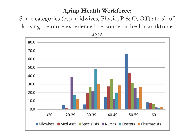#### **Aging Health Workforce**:

Some categories (esp. midwives, Physio, P & O, OT) at risk of loosing the more experienced personnel as health workforce

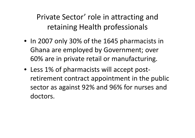Private Sector' role in attracting and retaining Health professionals

- In 2007 only 30% of the 1645 pharmacists in Ghana are employed by Government; over 60% are in private retail or manufacturing.
- Less 1% of pharmacists will accept post‐ retirement contract appointment in the public sector as against 92% and 96% for nurses and doctors.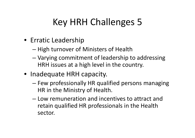## Key HRH Challenges 5

- Erratic Leadership
	- –— High turnover of Ministers of Health
	- – Varying commitment of leadership to addressing HRH issues at <sup>a</sup> high level in the country.
- Inadequate HRH capacity.
	- Few professionally HR qualified persons managing HR in the Ministry of Health.
	- Low remuneration and incentives to attract and retain qualified HR professionals in the Health sector.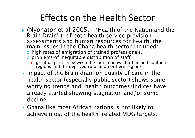#### Effects on the Health Sector

- $\blacktriangleright$  (Nyonator et al 2005, 'Health of the Nation and the Brain Drain' ) of both health service provision assessments and human resources for health, the main issues in the Ghana health sector included:
	- $\circ$  high rates of emigration of trained professionals,
	- o problems of inequitable distribution of staff
		- $\circ$  great disparities between the more endowed urban and southern regions and the deprived rural and northern regions
- ▶ Impact of the Brain drain on quality of care in the health sector (especially public sector) shows some worrying trends and health outcomes/indices have already started showing stagnation and/or some decline.
- Ghana like most African nations is not likely to achieve most of the health-related MDG targets.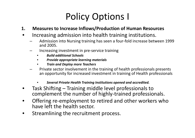## Policy Options I

- **1. Measures to Increase Inflows/Production of Human Resources**
- • Increasing admission into health training institutions.
	- Admission into Nursing training has seen <sup>a</sup> four‐fold increase between 1999 and 2005.
	- Increasing investment in pre‐service training
		- •*Build additional Schools*
		- •*Provide appropriate learning materials*
		- •*Train and Deploy more Teachers*
	- Private sector involvement in the training of health professionals presents an opportunity for increased investment in training of Health professionals
		- •*Several Private Health Training Institutions opened and accredited.*
- • Task Shifting – Training middle level professionals to complement the number of highly‐trained professionals.
- •Offering re-employment to retired and other workers who have left the health sector.
- •Streamlining the recruitment process.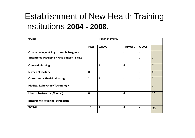#### Establishment of New Health Training Institutions **2004 - 2008.**

| <b>TYPE</b>                                       |                | <b>INSTITUTION</b> |                          |              |                |
|---------------------------------------------------|----------------|--------------------|--------------------------|--------------|----------------|
|                                                   | <b>MOH</b>     | <b>CHAG</b>        | <b>PRIVATE</b>           | <b>QUASI</b> |                |
| <b>Ghana college of Physicians &amp; Surgeons</b> |                | $\blacksquare$     | $\overline{\phantom{a}}$ |              |                |
| <b>Traditional Medicine Practitioners (B.Sc.)</b> |                |                    |                          | $\mathbf{1}$ |                |
| <b>General Nursing</b>                            |                |                    | $\overline{4}$           |              | $\overline{7}$ |
| <b>Direct Midwifery</b>                           | 8              | $\blacksquare$     | $\overline{\phantom{a}}$ |              | 8              |
| <b>Community Health Nursing</b>                   | $\overline{2}$ |                    | $\blacksquare$           |              | 3              |
| <b>Medical Laboratory Technology</b>              |                |                    |                          |              | $\overline{2}$ |
| <b>Health Assistants (Clinical)</b>               | 8              |                    | $\overline{4}$           |              | 12             |
| <b>Emergency Medical Technicians</b>              |                |                    |                          |              |                |
| <b>TOTAL</b>                                      | 13             | $\mathbf{2}$       | $\overline{\mathbf{4}}$  |              | 35             |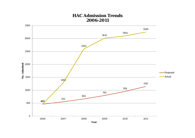#### **HAC Admission Trends 2006-2011**

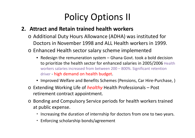## Policy Options II

#### **2. Attract and Retain trained health workers**

- o Additional Duty Hours Allowance (ADHA) was instituted for Doctors in November 1998 and ALL Health workers in 1999.
- o Enhanced Health sector salary scheme implemented
	- Redesign the remuneration system Ghana Govt. took <sup>a</sup> bold decision to prioritize the health sector for enhanced salaries in 2005/2006 Health workers salaries increased from between 200 – 800%. Significant retention driver - high demand on health budget.
	- Improved Welfare and Benefits Schemes (Pensions, Car Hire‐Purchase, )
- o Extending Working Life of *healthy* Health Professionals Post retirement contract appointment.
- o Bonding and Compulsory Service periods for health workers trained at public expense.
	- Increasing the duration of internship for doctors from one to two years.
	- Enforcing scholarship bonds/agreement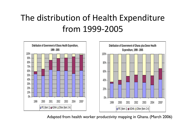#### The distribution of Health Expenditure from 1999‐2005



Adapted from health worker productivity mapping in Ghana. (March 2006)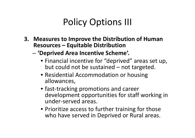### Policy Options III

- **3. Measures to Improve the Distribution of Human Resources – Equitable Distribution**
	- – **'Deprived Area Incentive Scheme'.**
		- Financial incentive for "deprived" areas set up, but could not be sustained – not targeted.
		- Residential Accommodation or housing allowances,
		- fast‐tracking promotions and career development opportunities for staff working in under‐served areas.
		- Prioritize access to further training for those who have served in Deprived or Rural areas.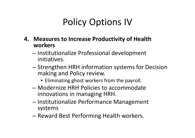## Policy Options IV

- **4. Measures to Increase Productivity of Health workers**
	- – $-$  Institutionalize Professional development initiatives.
	- Strengthen HRH information systems for Decision making and Policy review.
		- Eliminating ghost workers from the payroll.
	- Modernize HRH Policies to accommodate innovations in managing HRH.
	- – $-$  Institutionalize Performance Management systems
	- $-$  Reward Best Performing Health workers.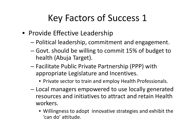## Key Factors of Success 1

- Provide Effective Leadership
	- Political leadership, commitment and engagement.
	- – Govt. should be willing to commit 15% of budget to health (Abuja Target).
	- – Facilitate Public Private Partnership (PPP) with appropriate Legislature and Incentives.
		- Private sector to train and employ Health Professionals.
	- – Local managers empowered to use locally generated resources and initiatives to attract and retain Health workers.
		- Willingness to adopt innovative strategies and exhibit the 'can do' attitude.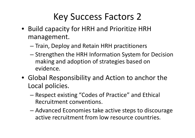### Key Success Factors 2

- Build capacity for HRH and Prioritize HRH management.
	- – $-$  Train, Deploy and Retain HRH practitioners
	- – Strengthen the HRH Information System for Decision making and adoption of strategies based on evidence.
- Global Responsibility and Action to anchor the Local policies.
	- – Respect existing "Codes of Practice" and Ethical Recruitment conventions.
	- – Advanced Economies take active steps to discourage active recruitment from low resource countries.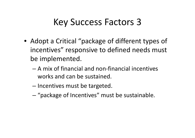#### Key Success Factors 3

- Adopt <sup>a</sup> Critical "package of different types of incentives" responsive to defined needs must be implemented.
	- A mix of financial and non‐financial incentives works and can be sustained.
	- – $-$  Incentives must be targeted.
	- –"package of Incentives" must be sustainable.